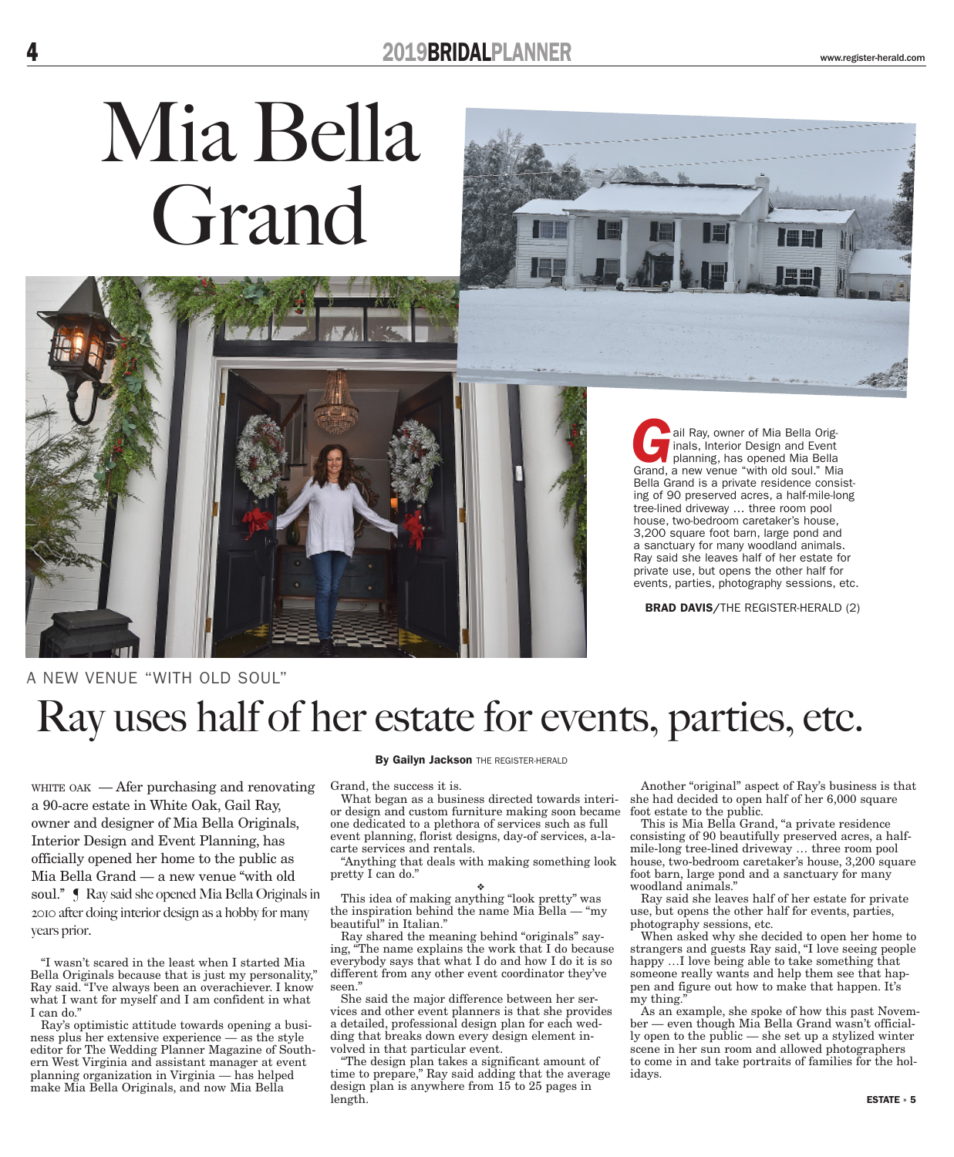# Mia Bella Grand





ail Ray, owner of Mia Bella Originals, Interior Design and Event planning, has opened Mia Bella Grand, a new venue "with old soul." Mia Bella Grand is a private residence consisting of 90 preserved acres, a half-mile-long tree-lined driveway … three room pool house, two-bedroom caretaker's house, 3,200 square foot barn, large pond and a sanctuary for many woodland animals. Ray said she leaves half of her estate for private use, but opens the other half for events, parties, photography sessions, etc.

BRAD DAVIS/THE REGISTER-HERALD (2)

### A NEW VENUE ''WITH OLD SOUL''

# Ray uses half of her estate for events, parties, etc.

WHITE OAK  $-$  Afer purchasing and renovating a 90-acre estate in White Oak, Gail Ray, owner and designer of Mia Bella Originals, Interior Design and Event Planning, has officially opened her home to the public as Mia Bella Grand — a new venue ''with old soul."  $\blacksquare$  Ray said she opened Mia Bella Originals in 2010 after doing interior design as a hobby for many years prior.

"I wasn't scared in the least when I started Mia Bella Originals because that is just my personality," Ray said. "I've always been an overachiever. I know what I want for myself and I am confident in what I can do."

Ray's optimistic attitude towards opening a business plus her extensive experience — as the style editor for The Wedding Planner Magazine of Southern West Virginia and assistant manager at event planning organization in Virginia — has helped make Mia Bella Originals, and now Mia Bella

#### By Gailyn Jackson THE REGISTER-HERALD

Grand, the success it is.

What began as a business directed towards interior design and custom furniture making soon became one dedicated to a plethora of services such as full event planning, florist designs, day-of services, a-lacarte services and rentals.

"Anything that deals with making something look pretty I can do."

❖ This idea of making anything "look pretty" was the inspiration behind the name Mia Bella — "my beautiful" in Italian.''

Ray shared the meaning behind "originals" saying, "The name explains the work that I do because everybody says that what I do and how I do it is so different from any other event coordinator they've seen."

She said the major difference between her services and other event planners is that she provides a detailed, professional design plan for each wedding that breaks down every design element involved in that particular event.

"The design plan takes a significant amount of time to prepare," Ray said adding that the average design plan is anywhere from 15 to 25 pages in length.

Another "original" aspect of Ray's business is that she had decided to open half of her 6,000 square foot estate to the public.

This is Mia Bella Grand, "a private residence consisting of 90 beautifully preserved acres, a halfmile-long tree-lined driveway … three room pool house, two-bedroom caretaker's house, 3,200 square foot barn, large pond and a sanctuary for many woodland animals."

Ray said she leaves half of her estate for private use, but opens the other half for events, parties, photography sessions, etc.

When asked why she decided to open her home to strangers and guests Ray said, "I love seeing people happy …I love being able to take something that someone really wants and help them see that happen and figure out how to make that happen. It's my thing."

As an example, she spoke of how this past November — even though Mia Bella Grand wasn't officially open to the public — she set up a stylized winter scene in her sun room and allowed photographers to come in and take portraits of families for the holidays.